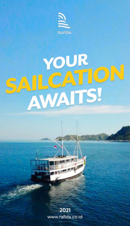

### YOUR LCATION A **AWAITS!**

2021 www.rafida.co.id

. 111 .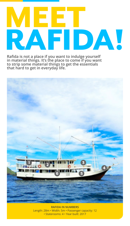## **MEET RAFIDA!**

**Rafida is not a place if you want to indulge yourself in material things. It's the place to come if you want to strip some material things to get the essentials that hard to get in everyday life.**



**RAFIDA IN NUMBERS** Length: 28m • Width: 5m • Passenger capacity: 12 • Staterooms: 4 • Year built: 2017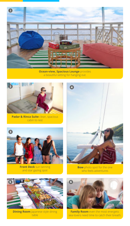

**Ocean-view, Spacious Lounge** provides a beautiful setting for hanging out.



**Padar & Rinca Suite** clean, spacious cabin to rest



**Front Deck** sun tanning and star gazing spot



**Bow** photo spot for the one who feels adventures



**Dining Room** Japanese style dining table



**Family Room** even the most energetic sea-lovers need time to catch their breath.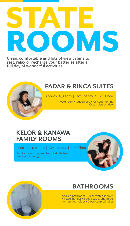# **STATE ROOMS**

**Clean, comfortable and lots of view cabins to rest, relax or recharge your batteries after a full day of wonderful activities.**



Approx. 6,3 sqm | Occupancy 2 | 2<sup>nd</sup> Floor Private room • Queen bed • Air-conditioning • Ocean view window

#### **KELOR & KANAWA FAMILY ROOMS**

Approx. 10,4 sqm | Occupancy 4 | 1<sup>st</sup> Floor

Family room • 1 queen bed, 2 single bed • Air-conditioning





#### **BATHROOMS**

3 Shared bathroom • Fresh water shower • Towel hanger • Body soap & shampoo • Amenities holder • Close coupled toilet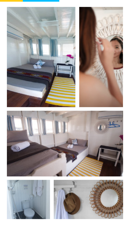



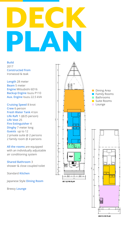# **DECK PLAN**

**Build** 2017 **Constructed from** Ironwood & teak

**Length** 28 meter **Beam** 5 meter **Engine** Mitsubishi 6D16 **Backup Engine** Isuzu P110 **Aux. Engine** Isuzu 22.5 kVA

**Cruising Speed** 8 knot **Crew** 6 person **Fresh Water Tank** 4 ton **Life Raft** 1 (@25 person) **Life Vest** 25 **Fire Extinguisher** 4 **Dinghy** 7 meter long **Guests** up to 12 2 private suite @ 2 persons 2 family room @ 4 persons

**All the rooms** are equipped with an individually adjustable air conditioning system

**Shared Bathroom** 3 shower & close coupled toilet

Standard **Kitchen**

Japanese Style **Dining Room**

Breezy **Lounge**